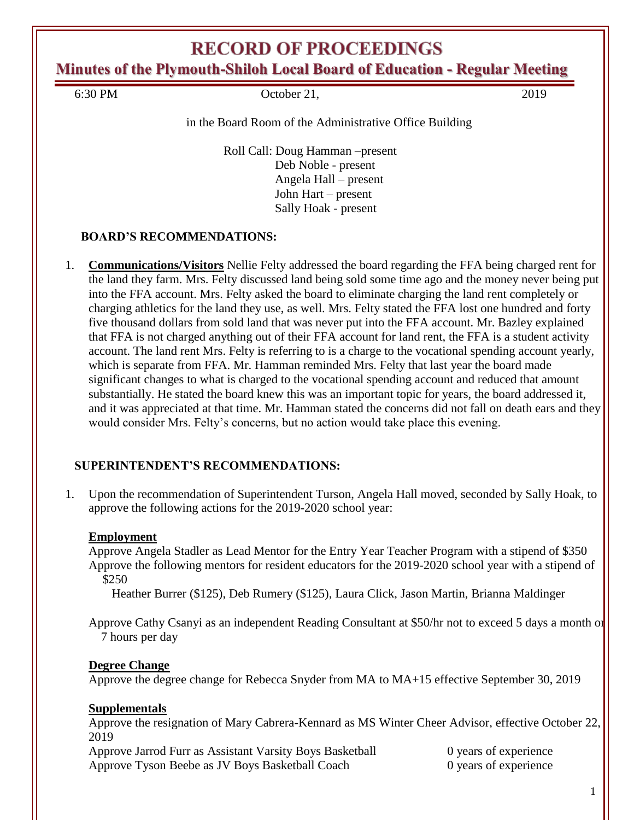# **RECORD OF PROCEEDINGS**

**Minutes of the Plymouth-Shiloh Local Board of Education - Regular Meeting**

6:30 PM October 21, 2019

in the Board Room of the Administrative Office Building

Roll Call: Doug Hamman –present Deb Noble - present Angela Hall – present John Hart – present Sally Hoak - present

### **BOARD'S RECOMMENDATIONS:**

1. **Communications/Visitors** Nellie Felty addressed the board regarding the FFA being charged rent for the land they farm. Mrs. Felty discussed land being sold some time ago and the money never being put into the FFA account. Mrs. Felty asked the board to eliminate charging the land rent completely or charging athletics for the land they use, as well. Mrs. Felty stated the FFA lost one hundred and forty five thousand dollars from sold land that was never put into the FFA account. Mr. Bazley explained that FFA is not charged anything out of their FFA account for land rent, the FFA is a student activity account. The land rent Mrs. Felty is referring to is a charge to the vocational spending account yearly, which is separate from FFA. Mr. Hamman reminded Mrs. Felty that last year the board made significant changes to what is charged to the vocational spending account and reduced that amount substantially. He stated the board knew this was an important topic for years, the board addressed it, and it was appreciated at that time. Mr. Hamman stated the concerns did not fall on death ears and they would consider Mrs. Felty's concerns, but no action would take place this evening.

### **SUPERINTENDENT'S RECOMMENDATIONS:**

1. Upon the recommendation of Superintendent Turson, Angela Hall moved, seconded by Sally Hoak, to approve the following actions for the 2019-2020 school year:

#### **Employment**

Approve Angela Stadler as Lead Mentor for the Entry Year Teacher Program with a stipend of \$350 Approve the following mentors for resident educators for the 2019-2020 school year with a stipend of \$250

Heather Burrer (\$125), Deb Rumery (\$125), Laura Click, Jason Martin, Brianna Maldinger

Approve Cathy Csanyi as an independent Reading Consultant at \$50/hr not to exceed 5 days a month or 7 hours per day

#### **Degree Change**

Approve the degree change for Rebecca Snyder from MA to MA+15 effective September 30, 2019

### **Supplementals**

Approve the resignation of Mary Cabrera-Kennard as MS Winter Cheer Advisor, effective October 22, 2019

Approve Jarrod Furr as Assistant Varsity Boys Basketball 0 years of experience Approve Tyson Beebe as JV Boys Basketball Coach 0 years of experience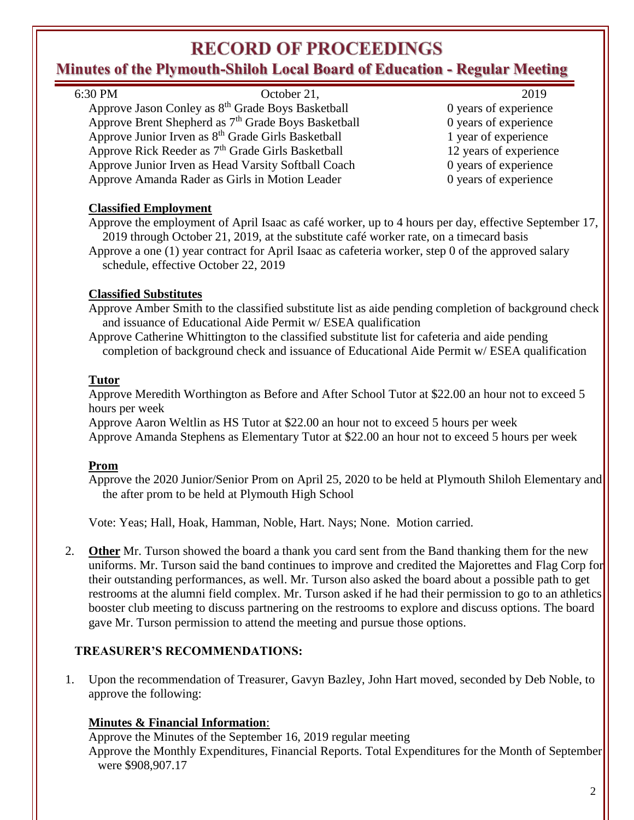# **RECORD OF PROCEEDINGS**

# **Minutes of the Plymouth-Shiloh Local Board of Education - Regular Meeting**

| Tinutes of the Plymouth-Shiloh Local Board of Education - Regular Meeting                                         |                        |
|-------------------------------------------------------------------------------------------------------------------|------------------------|
| 6:30 PM<br>October 21,                                                                                            | 2019                   |
| Approve Jason Conley as 8 <sup>th</sup> Grade Boys Basketball                                                     | 0 years of experience  |
| Approve Brent Shepherd as 7 <sup>th</sup> Grade Boys Basketball                                                   | 0 years of experience  |
| Approve Junior Irven as 8 <sup>th</sup> Grade Girls Basketball                                                    | 1 year of experience   |
| Approve Rick Reeder as 7 <sup>th</sup> Grade Girls Basketball                                                     | 12 years of experience |
| Approve Junior Irven as Head Varsity Softball Coach                                                               | 0 years of experience  |
| Approve Amanda Rader as Girls in Motion Leader                                                                    | 0 years of experience  |
| <b>Classified Employment</b>                                                                                      |                        |
| Approve the employment of April Isaac as café worker, up to 4 hours per day, effective September 17,              |                        |
| 2019 through October 21, 2019, at the substitute café worker rate, on a timecard basis                            |                        |
| Approve a one (1) year contract for April Isaac as cafeteria worker, step 0 of the approved salary                |                        |
| schedule, effective October 22, 2019                                                                              |                        |
| <b>Classified Substitutes</b>                                                                                     |                        |
| Approve Amber Smith to the classified substitute list as aide pending completion of background check              |                        |
| and issuance of Educational Aide Permit w/ ESEA qualification                                                     |                        |
| Approve Catherine Whittington to the classified substitute list for cafeteria and aide pending                    |                        |
| completion of background check and issuance of Educational Aide Permit w/ ESEA qualification                      |                        |
|                                                                                                                   |                        |
| <b>Tutor</b>                                                                                                      |                        |
| Approve Meredith Worthington as Before and After School Tutor at \$22.00 an hour not to exceed 5                  |                        |
| hours per week                                                                                                    |                        |
| Approve Aaron Weltlin as HS Tutor at \$22.00 an hour not to exceed 5 hours per week                               |                        |
| Approve Amanda Stephens as Elementary Tutor at \$22.00 an hour not to exceed 5 hours per week                     |                        |
|                                                                                                                   |                        |
| <b>Prom</b><br>Approve the 2020 Junior/Senior Prom on April 25, 2020 to be held at Plymouth Shiloh Elementary and |                        |
| the after prom to be held at Plymouth High School                                                                 |                        |
|                                                                                                                   |                        |
| Vote: Yeas; Hall, Hoak, Hamman, Noble, Hart. Nays; None. Motion carried.                                          |                        |
|                                                                                                                   |                        |
| 2.<br><b>Other</b> Mr. Turson showed the board a thank you card sent from the Band thanking them for the new      |                        |
| uniforms. Mr. Turson said the band continues to improve and credited the Majorettes and Flag Corp for             |                        |
| their outstanding performances, as well. Mr. Turson also asked the board about a possible path to get             |                        |
| restrooms at the alumni field complex. Mr. Turson asked if he had their permission to go to an athletics          |                        |
| booster club meeting to discuss partnering on the restrooms to explore and discuss options. The board             |                        |
| gave Mr. Turson permission to attend the meeting and pursue those options.                                        |                        |
| <b>TREASURER'S RECOMMENDATIONS:</b>                                                                               |                        |
|                                                                                                                   |                        |

1. Upon the recommendation of Treasurer, Gavyn Bazley, John Hart moved, seconded by Deb Noble, to approve the following:

### **Minutes & Financial Information**:

Approve the Minutes of the September 16, 2019 regular meeting Approve the Monthly Expenditures, Financial Reports. Total Expenditures for the Month of September were \$908,907.17